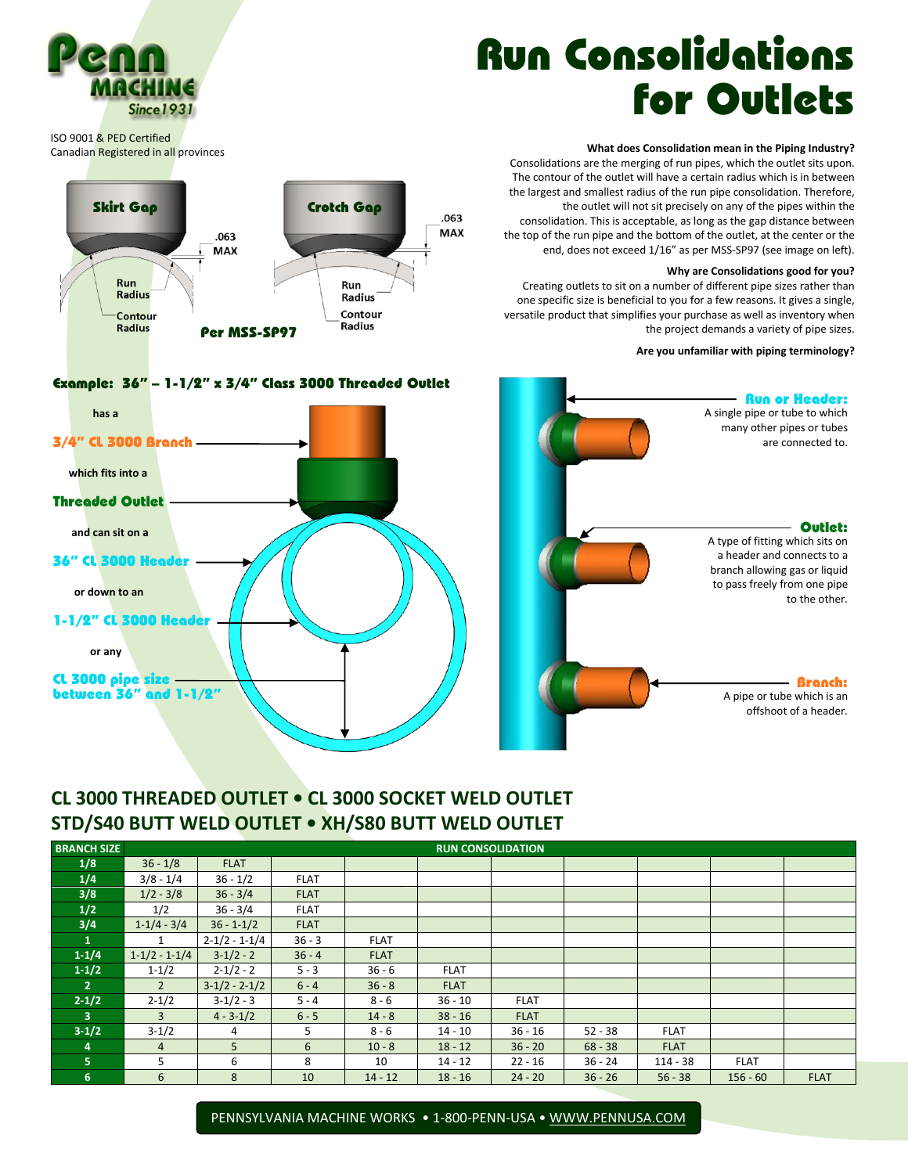# Run Consolidations for Outlets

### **What does Consolidation mean in the Piping Industry?**

Consolidations are the merging of run pipes, which the outlet sits upon. The contour of the outlet will have a certain radius which is in between the largest and smallest radius of the run pipe consolidation. Therefore, the outlet will not sit precisely on any of the pipes within the consolidation. This is acceptable, as long as the gap distance between the top of the run pipe and the bottom of the outlet, at the center or the end, does not exceed 1/16" as per MSS-SP97 (see image on left).

#### **Why are Consolidations good for you?**

Creating outlets to sit on a number of different pipe sizes rather than one specific size is beneficial to you for a few reasons. It gives a single, versatile product that simplifies your purchase as well as inventory when the project demands a variety of pipe sizes.

#### **Are you unfamiliar with piping terminology?**

A single pipe or tube to which many other pipes or tubes are connected to.

Run or Header:

A type of fitting which sits on a header and connects to a branch allowing gas or liquid to pass freely from one pipe

> A pipe or tube which is an offshoot of a header.

to the other.

Branch:

Outlet:



### Example: 36" – 1-1/2" x 3/4" Class 3000 Threaded Outlet



## **CL 3000 THREADED OUTLET • CL 3000 SOCKET WELD OUTLET STD/S40 BUTT WELD OUTLET • XH/S80 BUTT WELD OUTLET**

| <b>BRANCH SIZE</b>      | <b>RUN CONSOLIDATION</b> |                     |                |             |             |             |           |             |             |             |
|-------------------------|--------------------------|---------------------|----------------|-------------|-------------|-------------|-----------|-------------|-------------|-------------|
| 1/8                     | $36 - 1/8$               | <b>FLAT</b>         |                |             |             |             |           |             |             |             |
| 1/4                     | $3/8 - 1/4$              | $36 - 1/2$          | <b>FLAT</b>    |             |             |             |           |             |             |             |
| 3/8                     | $1/2 - 3/8$              | $36 - 3/4$          | <b>FLAT</b>    |             |             |             |           |             |             |             |
| 1/2                     | 1/2                      | $36 - 3/4$          | <b>FLAT</b>    |             |             |             |           |             |             |             |
| 3/4                     | $1-1/4-3/4$              | $36 - 1 - 1/2$      | <b>FLAT</b>    |             |             |             |           |             |             |             |
| 1                       |                          | $2 - 1/2 - 1 - 1/4$ | $36 - 3$       | <b>FLAT</b> |             |             |           |             |             |             |
| $1 - 1/4$               | $1-1/2 - 1-1/4$          | $3-1/2-2$           | $36 - 4$       | <b>FLAT</b> |             |             |           |             |             |             |
| $1 - 1/2$               | $1 - 1/2$                | $2 - 1/2 - 2$       | $5 - 3$        | $36 - 6$    | <b>FLAT</b> |             |           |             |             |             |
| $\overline{2}$          | $\overline{2}$           | $3-1/2 - 2-1/2$     | $6 - 4$        | $36 - 8$    | <b>FLAT</b> |             |           |             |             |             |
| $2 - 1/2$               | $2 - 1/2$                | $3-1/2-3$           | $5 - 4$        | $8 - 6$     | $36 - 10$   | <b>FLAT</b> |           |             |             |             |
| $\overline{\mathbf{3}}$ | $\overline{3}$           | $4 - 3 - 1/2$       | $6 - 5$        | $14 - 8$    | $38 - 16$   | <b>FLAT</b> |           |             |             |             |
| $3 - 1/2$               | $3-1/2$                  | 4                   | 5 <sup>1</sup> | $8 - 6$     | $14 - 10$   | $36 - 16$   | $52 - 38$ | <b>FLAT</b> |             |             |
| 4                       | $\overline{4}$           | 5                   | 6              | $10 - 8$    | $18 - 12$   | $36 - 20$   | $68 - 38$ | <b>FLAT</b> |             |             |
| 5                       | 5                        | 6                   | 8              | 10          | $14 - 12$   | $22 - 16$   | $36 - 24$ | $114 - 38$  | <b>FLAT</b> |             |
| 6                       | 6                        | 8                   | 10             | $14 - 12$   | $18 - 16$   | $24 - 20$   | $36 - 26$ | $56 - 38$   | $156 - 60$  | <b>FLAT</b> |

PENNSYLVANIA MACHINE WORKS • 1-800-PENN-USA • [WWW.PENNUSA.COM](http://www.pennusa.com/)



ISO 9001 & PED Certified Canadian Registered in all provinces